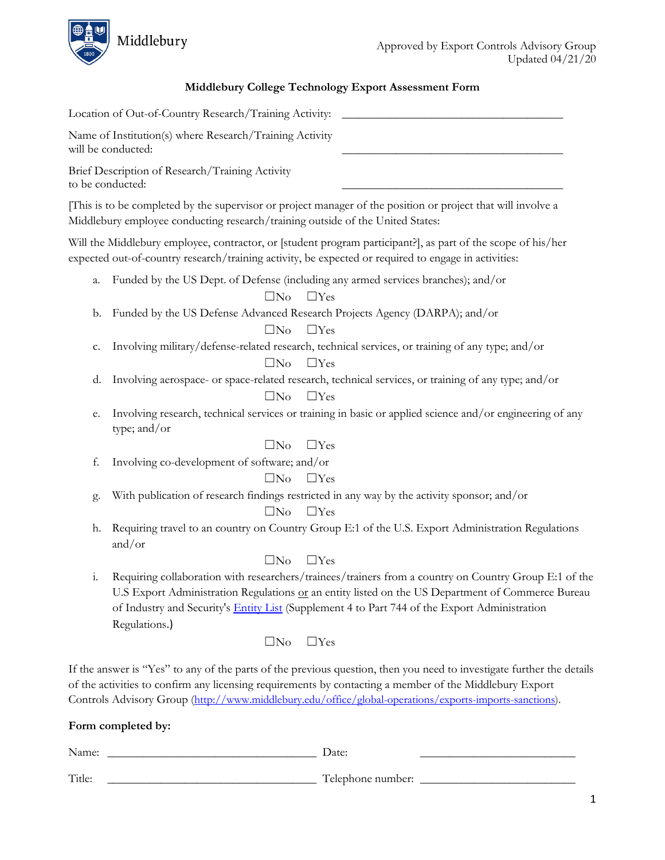

## **Middlebury College Technology Export Assessment Form**

| Location of Out-of-Country Research/Training Activity:                                                                                                                                                                                                                                                                                      |
|---------------------------------------------------------------------------------------------------------------------------------------------------------------------------------------------------------------------------------------------------------------------------------------------------------------------------------------------|
| Name of Institution(s) where Research/Training Activity<br>will be conducted:                                                                                                                                                                                                                                                               |
| Brief Description of Research/Training Activity<br>to be conducted:                                                                                                                                                                                                                                                                         |
| This is to be completed by the supervisor or project manager of the position or project that will involve a<br>Middlebury employee conducting research/training outside of the United States:                                                                                                                                               |
| Will the Middlebury employee, contractor, or [student program participant?], as part of the scope of his/her<br>expected out-of-country research/training activity, be expected or required to engage in activities:                                                                                                                        |
| Funded by the US Dept. of Defense (including any armed services branches); and/or<br>a.<br>$\square$ No<br>$\Box$ Yes                                                                                                                                                                                                                       |
| Funded by the US Defense Advanced Research Projects Agency (DARPA); and/or<br>b.<br>$\square$ No<br>$\Box$ Yes                                                                                                                                                                                                                              |
| Involving military/defense-related research, technical services, or training of any type; and/or<br>c.<br>$\square$ No<br>$\Box$ Yes                                                                                                                                                                                                        |
| Involving aerospace- or space-related research, technical services, or training of any type; and/or<br>d.<br>$\Box$ Yes<br>$\square$ No                                                                                                                                                                                                     |
| Involving research, technical services or training in basic or applied science and/or engineering of any<br>e.<br>type; and/or                                                                                                                                                                                                              |
| $\square$ No<br>$\Box$ Yes                                                                                                                                                                                                                                                                                                                  |
| f.<br>Involving co-development of software; and/or                                                                                                                                                                                                                                                                                          |
| $\square$ No<br>$\Box$ Yes                                                                                                                                                                                                                                                                                                                  |
| With publication of research findings restricted in any way by the activity sponsor; and/or<br>g.                                                                                                                                                                                                                                           |
| $\square$ No<br>$\Box$ Yes                                                                                                                                                                                                                                                                                                                  |
| Requiring travel to an country on Country Group E:1 of the U.S. Export Administration Regulations<br>h.<br>and/or                                                                                                                                                                                                                           |
| $\Box$ Yes<br>$\square$ No                                                                                                                                                                                                                                                                                                                  |
| i.<br>Requiring collaboration with researchers/trainees/trainers from a country on Country Group E:1 of the<br>U.S Export Administration Regulations or an entity listed on the US Department of Commerce Bureau<br>of Industry and Security's <b>Entity List</b> (Supplement 4 to Part 744 of the Export Administration<br>Regulations.)   |
| $\Box$ Yes<br>$\square$ No                                                                                                                                                                                                                                                                                                                  |
| If the answer is "Yes" to any of the parts of the previous question, then you need to investigate further the details<br>of the activities to confirm any licensing requirements by contacting a member of the Middlebury Export<br>Controls Advisory Group (http://www.middlebury.edu/office/global-operations/exports-imports-sanctions). |
| Form completed by:                                                                                                                                                                                                                                                                                                                          |
| Name:<br>Date:                                                                                                                                                                                                                                                                                                                              |